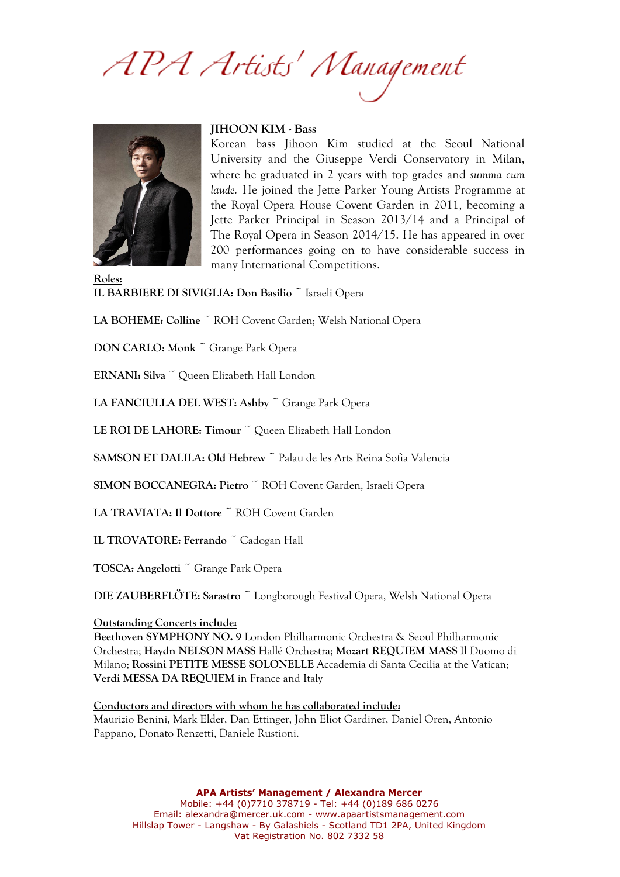APA Artists' Management



## **JIHOON KIM - Bass**

Korean bass Jihoon Kim studied at the Seoul National University and the Giuseppe Verdi Conservatory in Milan, where he graduated in 2 years with top grades and *summa cum laude.* He joined the Jette Parker Young Artists Programme at the Royal Opera House Covent Garden in 2011, becoming a Jette Parker Principal in Season 2013/14 and a Principal of The Royal Opera in Season 2014/15. He has appeared in over 200 performances going on to have considerable success in many International Competitions.

**Roles: IL BARBIERE DI SIVIGLIA: Don Basilio** ~ Israeli Opera

LA BOHEME: Colline<sup>~</sup> ROH Covent Garden; Welsh National Opera

**DON CARLO: Monk** ~ Grange Park Opera

**ERNANI: Silva** ~ Queen Elizabeth Hall London

**LA FANCIULLA DEL WEST: Ashby** ~ Grange Park Opera

LE ROI DE LAHORE: Timour<sup>~</sup> Queen Elizabeth Hall London

**SAMSON ET DALILA: Old Hebrew** ~ Palau de les Arts Reina Sofia Valencia

**SIMON BOCCANEGRA: Pietro** ~ ROH Covent Garden, Israeli Opera

**LA TRAVIATA: Il Dottore** ~ ROH Covent Garden

**IL TROVATORE: Ferrando** ~ Cadogan Hall

**TOSCA: Angelotti** ~ Grange Park Opera

**DIE ZAUBERFLÖTE: Sarastro** ~ Longborough Festival Opera, Welsh National Opera

## **Outstanding Concerts include:**

**Beethoven SYMPHONY NO. 9** London Philharmonic Orchestra & Seoul Philharmonic Orchestra; **Haydn NELSON MASS** Hallé Orchestra; **Mozart REQUIEM MASS** Il Duomo di Milano; **Rossini PETITE MESSE SOLONELLE** Accademia di Santa Cecilia at the Vatican; **Verdi MESSA DA REQUIEM** in France and Italy

**Conductors and directors with whom he has collaborated include:** Maurizio Benini, Mark Elder, Dan Ettinger, John Eliot Gardiner, Daniel Oren, Antonio Pappano, Donato Renzetti, Daniele Rustioni.